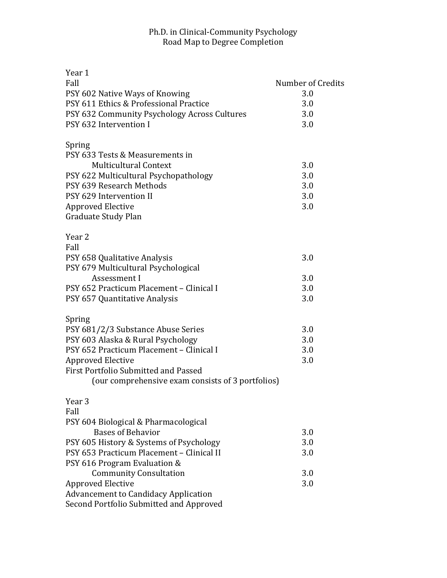## Ph.D. in Clinical-Community Psychology Road Map to Degree Completion

| Year 1                                            |                   |
|---------------------------------------------------|-------------------|
| Fall                                              | Number of Credits |
| PSY 602 Native Ways of Knowing                    | 3.0               |
| PSY 611 Ethics & Professional Practice            | 3.0               |
| PSY 632 Community Psychology Across Cultures      | 3.0               |
| PSY 632 Intervention I                            | 3.0               |
| Spring                                            |                   |
| PSY 633 Tests & Measurements in                   |                   |
| <b>Multicultural Context</b>                      | 3.0               |
| PSY 622 Multicultural Psychopathology             | 3.0               |
| PSY 639 Research Methods                          | 3.0               |
| PSY 629 Intervention II                           | 3.0               |
| <b>Approved Elective</b>                          | 3.0               |
| Graduate Study Plan                               |                   |
| Year <sub>2</sub>                                 |                   |
| Fall                                              |                   |
| PSY 658 Qualitative Analysis                      | 3.0               |
| PSY 679 Multicultural Psychological               |                   |
| Assessment I                                      | 3.0               |
| PSY 652 Practicum Placement - Clinical I          | 3.0               |
| PSY 657 Quantitative Analysis                     | 3.0               |
| Spring                                            |                   |
| PSY 681/2/3 Substance Abuse Series                | 3.0               |
| PSY 603 Alaska & Rural Psychology                 | 3.0               |
| PSY 652 Practicum Placement - Clinical I          | 3.0               |
| <b>Approved Elective</b>                          | 3.0               |
| First Portfolio Submitted and Passed              |                   |
| (our comprehensive exam consists of 3 portfolios) |                   |
| Year <sub>3</sub>                                 |                   |
| Fall                                              |                   |
| PSY 604 Biological & Pharmacological              |                   |
| <b>Bases of Behavior</b>                          | 3.0               |
| PSY 605 History & Systems of Psychology           | 3.0               |
| PSY 653 Practicum Placement - Clinical II         | 3.0               |
| PSY 616 Program Evaluation &                      |                   |
| <b>Community Consultation</b>                     | 3.0               |
| <b>Approved Elective</b>                          | 3.0               |
| <b>Advancement to Candidacy Application</b>       |                   |
| Second Portfolio Submitted and Approved           |                   |